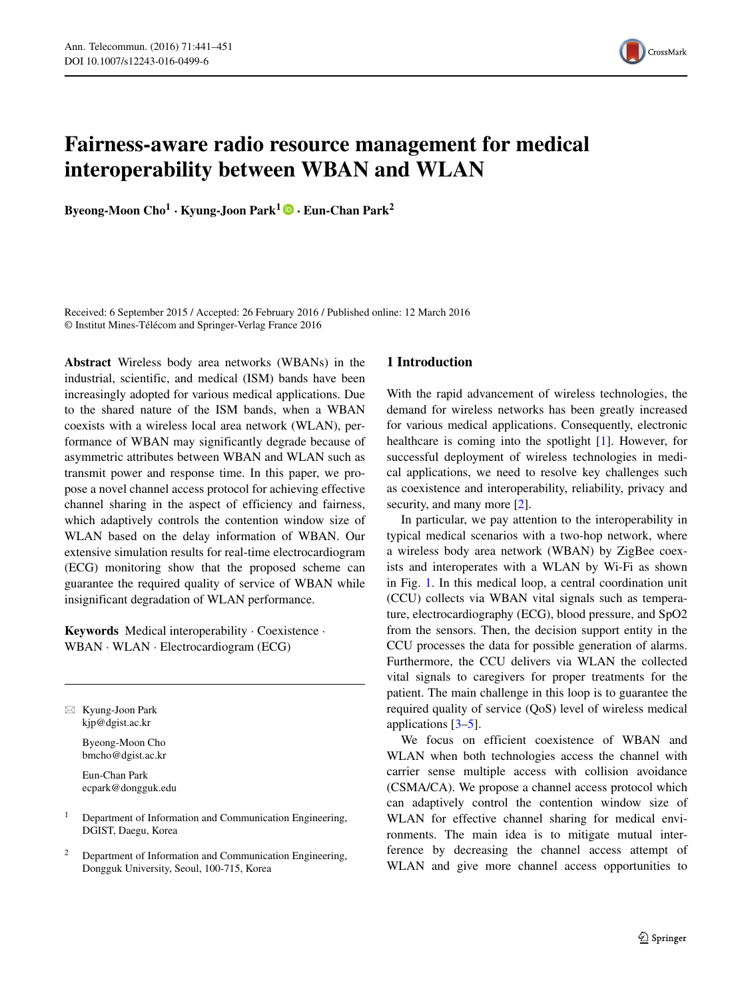

# **Fairness-aware radio resource management for medical interoperability between WBAN and WLAN**

**Byeong-Moon Cho<sup>1</sup> · Kyung-Joon Park<sup>1</sup> · Eun-Chan Park<sup>2</sup>**

Received: 6 September 2015 / Accepted: 26 February 2016 / Published online: 12 March 2016 © Institut Mines-Télécom and Springer-Verlag France 2016

**Abstract** Wireless body area networks (WBANs) in the industrial, scientific, and medical (ISM) bands have been increasingly adopted for various medical applications. Due to the shared nature of the ISM bands, when a WBAN coexists with a wireless local area network (WLAN), performance of WBAN may significantly degrade because of asymmetric attributes between WBAN and WLAN such as transmit power and response time. In this paper, we propose a novel channel access protocol for achieving effective channel sharing in the aspect of efficiency and fairness, which adaptively controls the contention window size of WLAN based on the delay information of WBAN. Our extensive simulation results for real-time electrocardiogram (ECG) monitoring show that the proposed scheme can guarantee the required quality of service of WBAN while insignificant degradation of WLAN performance.

**Keywords** Medical interoperability · Coexistence · WBAN · WLAN · Electrocardiogram (ECG)

- Kyung-Joon Park [kjp@dgist.ac.kr](mailto:kjp@dgist.ac.kr)

> Byeong-Moon Cho [bmcho@dgist.ac.kr](mailto:bmcho@dgist.ac.kr)

Eun-Chan Park [ecpark@dongguk.edu](mailto:ecpark@dongguk.edu)

- <sup>1</sup> Department of Information and Communication Engineering, DGIST, Daegu, Korea
- <sup>2</sup> Department of Information and Communication Engineering, Dongguk University, Seoul, 100-715, Korea

## **1 Introduction**

With the rapid advancement of wireless technologies, the demand for wireless networks has been greatly increased for various medical applications. Consequently, electronic healthcare is coming into the spotlight [\[1\]](#page-10-0). However, for successful deployment of wireless technologies in medical applications, we need to resolve key challenges such as coexistence and interoperability, reliability, privacy and security, and many more [\[2\]](#page-10-1).

In particular, we pay attention to the interoperability in typical medical scenarios with a two-hop network, where a wireless body area network (WBAN) by ZigBee coexists and interoperates with a WLAN by Wi-Fi as shown in Fig. [1.](#page-1-0) In this medical loop, a central coordination unit (CCU) collects via WBAN vital signals such as temperature, electrocardiography (ECG), blood pressure, and SpO2 from the sensors. Then, the decision support entity in the CCU processes the data for possible generation of alarms. Furthermore, the CCU delivers via WLAN the collected vital signals to caregivers for proper treatments for the patient. The main challenge in this loop is to guarantee the required quality of service (QoS) level of wireless medical applications [\[3](#page-10-2)[–5\]](#page-10-3).

We focus on efficient coexistence of WBAN and WLAN when both technologies access the channel with carrier sense multiple access with collision avoidance (CSMA/CA). We propose a channel access protocol which can adaptively control the contention window size of WLAN for effective channel sharing for medical environments. The main idea is to mitigate mutual interference by decreasing the channel access attempt of WLAN and give more channel access opportunities to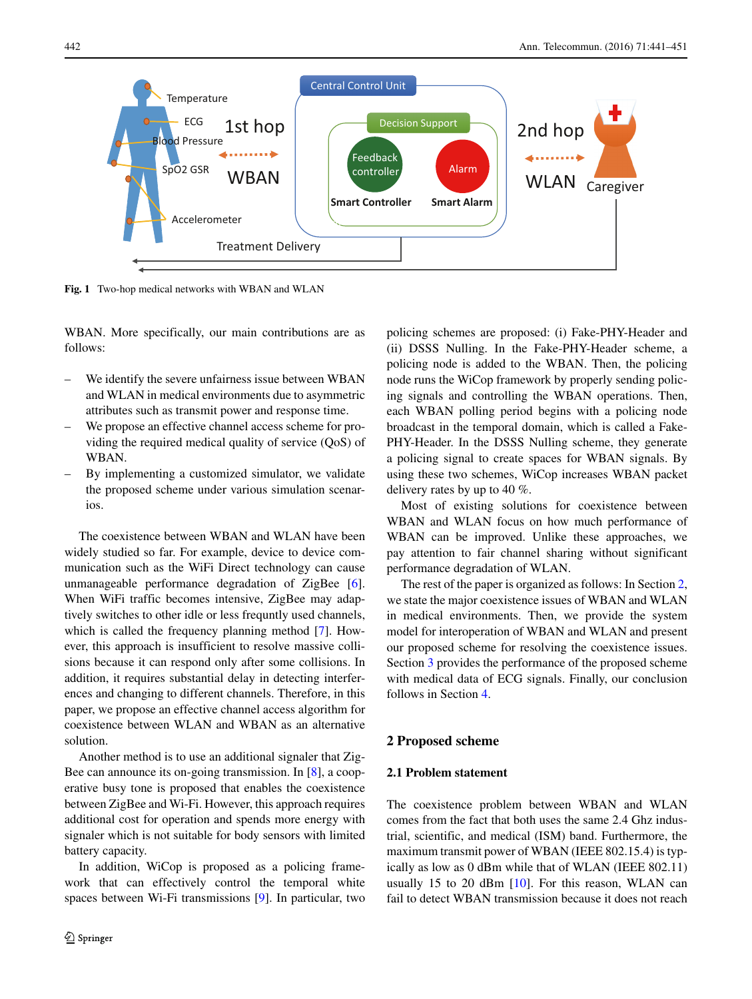<span id="page-1-0"></span>

**Fig. 1** Two-hop medical networks with WBAN and WLAN

WBAN. More specifically, our main contributions are as follows:

- We identify the severe unfairness issue between WBAN and WLAN in medical environments due to asymmetric attributes such as transmit power and response time.
- We propose an effective channel access scheme for providing the required medical quality of service (QoS) of WBAN.
- By implementing a customized simulator, we validate the proposed scheme under various simulation scenarios.

The coexistence between WBAN and WLAN have been widely studied so far. For example, device to device communication such as the WiFi Direct technology can cause unmanageable performance degradation of ZigBee [\[6\]](#page-10-4). When WiFi traffic becomes intensive, ZigBee may adaptively switches to other idle or less frequntly used channels, which is called the frequency planning method [\[7\]](#page-10-5). However, this approach is insufficient to resolve massive collisions because it can respond only after some collisions. In addition, it requires substantial delay in detecting interferences and changing to different channels. Therefore, in this paper, we propose an effective channel access algorithm for coexistence between WLAN and WBAN as an alternative solution.

Another method is to use an additional signaler that Zig-Bee can announce its on-going transmission. In [\[8\]](#page-10-6), a cooperative busy tone is proposed that enables the coexistence between ZigBee and Wi-Fi. However, this approach requires additional cost for operation and spends more energy with signaler which is not suitable for body sensors with limited battery capacity.

In addition, WiCop is proposed as a policing framework that can effectively control the temporal white spaces between Wi-Fi transmissions [\[9\]](#page-10-7). In particular, two policing schemes are proposed: (i) Fake-PHY-Header and (ii) DSSS Nulling. In the Fake-PHY-Header scheme, a policing node is added to the WBAN. Then, the policing node runs the WiCop framework by properly sending policing signals and controlling the WBAN operations. Then, each WBAN polling period begins with a policing node broadcast in the temporal domain, which is called a Fake-PHY-Header. In the DSSS Nulling scheme, they generate a policing signal to create spaces for WBAN signals. By using these two schemes, WiCop increases WBAN packet delivery rates by up to 40 %.

Most of existing solutions for coexistence between WBAN and WLAN focus on how much performance of WBAN can be improved. Unlike these approaches, we pay attention to fair channel sharing without significant performance degradation of WLAN.

The rest of the paper is organized as follows: In Section [2,](#page-1-1) we state the major coexistence issues of WBAN and WLAN in medical environments. Then, we provide the system model for interoperation of WBAN and WLAN and present our proposed scheme for resolving the coexistence issues. Section [3](#page-7-0) provides the performance of the proposed scheme with medical data of ECG signals. Finally, our conclusion follows in Section [4.](#page-10-8)

## <span id="page-1-1"></span>**2 Proposed scheme**

## **2.1 Problem statement**

The coexistence problem between WBAN and WLAN comes from the fact that both uses the same 2.4 Ghz industrial, scientific, and medical (ISM) band. Furthermore, the maximum transmit power of WBAN (IEEE 802.15.4) is typically as low as 0 dBm while that of WLAN (IEEE 802.11) usually 15 to 20 dBm [\[10\]](#page-10-9). For this reason, WLAN can fail to detect WBAN transmission because it does not reach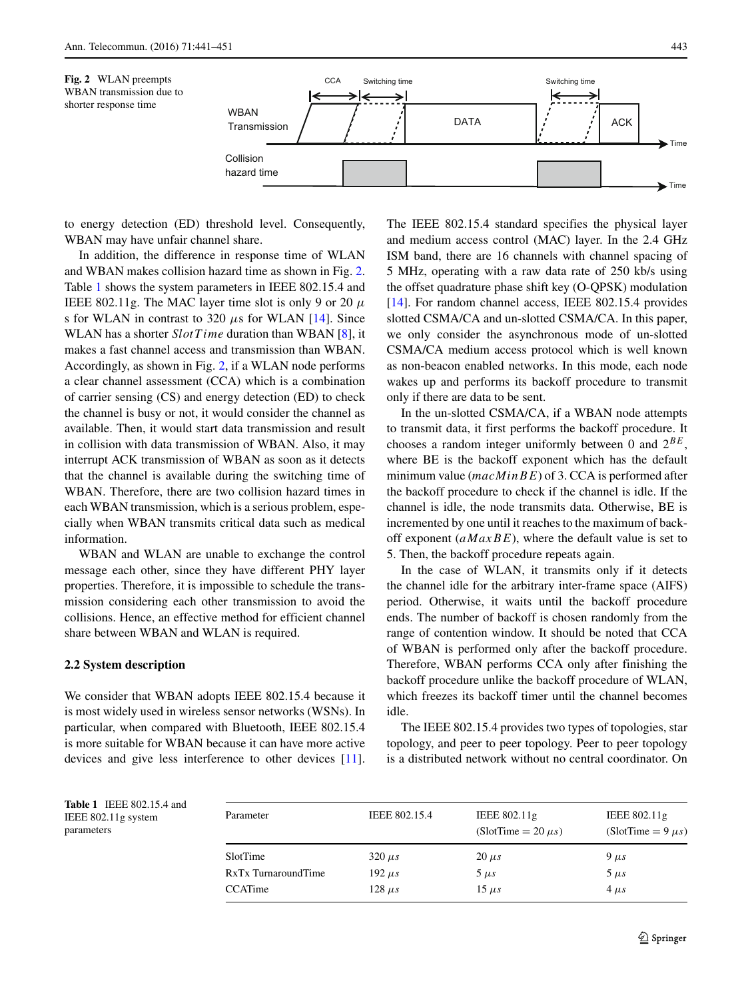<span id="page-2-0"></span>



to energy detection (ED) threshold level. Consequently, WBAN may have unfair channel share.

In addition, the difference in response time of WLAN and WBAN makes collision hazard time as shown in Fig. [2.](#page-2-0) Table [1](#page-2-1) shows the system parameters in IEEE 802.15.4 and IEEE 802.11g. The MAC layer time slot is only 9 or 20  $\mu$ s for WLAN in contrast to 320 *μ*s for WLAN [\[14\]](#page-10-10). Since WLAN has a shorter *SlotT ime* duration than WBAN [\[8\]](#page-10-6), it makes a fast channel access and transmission than WBAN. Accordingly, as shown in Fig. [2,](#page-2-0) if a WLAN node performs a clear channel assessment (CCA) which is a combination of carrier sensing (CS) and energy detection (ED) to check the channel is busy or not, it would consider the channel as available. Then, it would start data transmission and result in collision with data transmission of WBAN. Also, it may interrupt ACK transmission of WBAN as soon as it detects that the channel is available during the switching time of WBAN. Therefore, there are two collision hazard times in each WBAN transmission, which is a serious problem, especially when WBAN transmits critical data such as medical information.

WBAN and WLAN are unable to exchange the control message each other, since they have different PHY layer properties. Therefore, it is impossible to schedule the transmission considering each other transmission to avoid the collisions. Hence, an effective method for efficient channel share between WBAN and WLAN is required.

#### **2.2 System description**

We consider that WBAN adopts IEEE 802.15.4 because it is most widely used in wireless sensor networks (WSNs). In particular, when compared with Bluetooth, IEEE 802.15.4 is more suitable for WBAN because it can have more active devices and give less interference to other devices [\[11\]](#page-10-11).

The IEEE 802.15.4 standard specifies the physical layer and medium access control (MAC) layer. In the 2.4 GHz ISM band, there are 16 channels with channel spacing of 5 MHz, operating with a raw data rate of 250 kb/s using the offset quadrature phase shift key (O-QPSK) modulation [\[14\]](#page-10-10). For random channel access, IEEE 802.15.4 provides slotted CSMA/CA and un-slotted CSMA/CA. In this paper, we only consider the asynchronous mode of un-slotted CSMA/CA medium access protocol which is well known as non-beacon enabled networks. In this mode, each node wakes up and performs its backoff procedure to transmit only if there are data to be sent.

In the un-slotted CSMA/CA, if a WBAN node attempts to transmit data, it first performs the backoff procedure. It chooses a random integer uniformly between 0 and 2*BE*, where BE is the backoff exponent which has the default minimum value (*macM inBE*) of 3. CCA is performed after the backoff procedure to check if the channel is idle. If the channel is idle, the node transmits data. Otherwise, BE is incremented by one until it reaches to the maximum of backoff exponent (*aMaxBE*), where the default value is set to 5. Then, the backoff procedure repeats again.

In the case of WLAN, it transmits only if it detects the channel idle for the arbitrary inter-frame space (AIFS) period. Otherwise, it waits until the backoff procedure ends. The number of backoff is chosen randomly from the range of contention window. It should be noted that CCA of WBAN is performed only after the backoff procedure. Therefore, WBAN performs CCA only after finishing the backoff procedure unlike the backoff procedure of WLAN, which freezes its backoff timer until the channel becomes idle.

The IEEE 802.15.4 provides two types of topologies, star topology, and peer to peer topology. Peer to peer topology is a distributed network without no central coordinator. On

<span id="page-2-1"></span>**Table 1** IEEE 802.15.4 and IEEE 802.11g system parameters

| Parameter           | IEEE 802.15.4 | IEEE $802.11g$<br>$(SlotTime = 20 \mu s)$ | IEEE 802.11g<br>(SlotTime = $9 \mu s$ ) |
|---------------------|---------------|-------------------------------------------|-----------------------------------------|
| SlotTime            | $320 \mu s$   | $20 \mu s$                                | $9 \mu s$                               |
| RxTx TurnaroundTime | $192 \mu s$   | $5 \mu s$                                 | $5 \mu s$                               |
| CCATime             | $128 \mu s$   | $15 \mu s$                                | $4 \mu s$                               |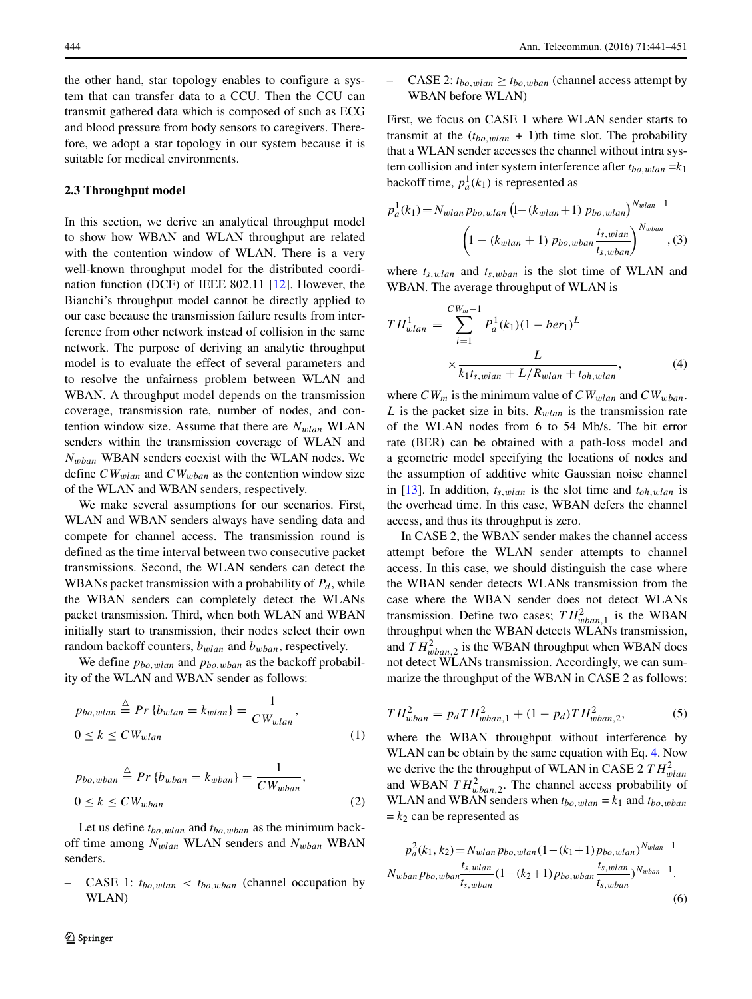the other hand, star topology enables to configure a system that can transfer data to a CCU. Then the CCU can transmit gathered data which is composed of such as ECG and blood pressure from body sensors to caregivers. Therefore, we adopt a star topology in our system because it is suitable for medical environments.

#### **2.3 Throughput model**

In this section, we derive an analytical throughput model to show how WBAN and WLAN throughput are related with the contention window of WLAN. There is a very well-known throughput model for the distributed coordination function (DCF) of IEEE 802.11 [\[12\]](#page-10-12). However, the Bianchi's throughput model cannot be directly applied to our case because the transmission failure results from interference from other network instead of collision in the same network. The purpose of deriving an analytic throughput model is to evaluate the effect of several parameters and to resolve the unfairness problem between WLAN and WBAN. A throughput model depends on the transmission coverage, transmission rate, number of nodes, and contention window size. Assume that there are  $N_{wlan}$  WLAN senders within the transmission coverage of WLAN and *Nwban* WBAN senders coexist with the WLAN nodes. We define *CWwlan* and *CWwban* as the contention window size of the WLAN and WBAN senders, respectively.

We make several assumptions for our scenarios. First, WLAN and WBAN senders always have sending data and compete for channel access. The transmission round is defined as the time interval between two consecutive packet transmissions. Second, the WLAN senders can detect the WBANs packet transmission with a probability of  $P_d$ , while the WBAN senders can completely detect the WLANs packet transmission. Third, when both WLAN and WBAN initially start to transmission, their nodes select their own random backoff counters, *bwlan* and *bwban*, respectively.

We define *pbo,wlan* and *pbo,wban* as the backoff probability of the WLAN and WBAN sender as follows:

$$
p_{bo, wlan} \stackrel{\triangle}{=} Pr \{b_{wlan} = k_{wlan}\} = \frac{1}{CW_{wlan}},
$$
  

$$
0 \le k \le CW_{wlan}
$$
 (1)

$$
p_{bo, wban} \stackrel{\triangle}{=} Pr\{b_{wban} = k_{wban}\} = \frac{1}{CW_{wban}},
$$
  

$$
0 \le k \le CW_{wban}
$$
 (2)

Let us define *tbo,wlan* and *tbo,wban* as the minimum backoff time among *Nwlan* WLAN senders and *Nwban* WBAN senders.

CASE 1:  $t_{bo, wlan} < t_{bo, wban}$  (channel occupation by WLAN)

CASE 2:  $t_{bo, wlan} \geq t_{bo, wban}$  (channel access attempt by WBAN before WLAN)

First, we focus on CASE 1 where WLAN sender starts to transmit at the  $(t_{bo, wlan} + 1)$ th time slot. The probability that a WLAN sender accesses the channel without intra system collision and inter system interference after  $t_{bo,wlan} = k_1$ backoff time,  $p_a^1(k_1)$  is represented as

$$
p_a^1(k_1) = N_{wlan} p_{bo, wlan} \left( 1 - (k_{wlan} + 1) p_{bo, wlan} \right)^{N_{wlan} - 1}
$$

$$
\left( 1 - (k_{wlan} + 1) p_{bo, wban} \frac{t_{s, wlan}}{t_{s, wban}} \right)^{N_{wban}}, (3)
$$

where  $t_{s, wlan}$  and  $t_{s, wban}$  is the slot time of WLAN and WBAN. The average throughput of WLAN is

<span id="page-3-0"></span>
$$
TH_{wlan}^{1} = \sum_{i=1}^{CW_{m}-1} P_{a}^{1}(k_{1})(1 - ber_{1})^{L}
$$

$$
\times \frac{L}{k_{1}t_{s, wlan} + L/R_{wlan} + t_{oh, wlan}},
$$
(4)

where  $CW_m$  is the minimum value of  $CW_{wlan}$  and  $CW_{wban}$ . *L* is the packet size in bits.  $R_{wlan}$  is the transmission rate of the WLAN nodes from 6 to 54 Mb/s. The bit error rate (BER) can be obtained with a path-loss model and a geometric model specifying the locations of nodes and the assumption of additive white Gaussian noise channel in [\[13\]](#page-10-13). In addition, *ts,wlan* is the slot time and *toh,wlan* is the overhead time. In this case, WBAN defers the channel access, and thus its throughput is zero.

In CASE 2, the WBAN sender makes the channel access attempt before the WLAN sender attempts to channel access. In this case, we should distinguish the case where the WBAN sender detects WLANs transmission from the case where the WBAN sender does not detect WLANs transmission. Define two cases;  $TH_{wban,1}^2$  is the WBAN throughput when the WBAN detects WLANs transmission, and  $TH_{wban,2}^2$  is the WBAN throughput when WBAN does not detect WLANs transmission. Accordingly, we can summarize the throughput of the WBAN in CASE 2 as follows:

$$
TH_{wban}^2 = p_dTH_{wban,1}^2 + (1 - p_d)TH_{wban,2}^2,\tag{5}
$$

where the WBAN throughput without interference by WLAN can be obtain by the same equation with Eq. [4.](#page-3-0) Now we derive the the throughput of WLAN in CASE 2  $TH_{\text{wlan}}^2$ and WBAN  $TH_{wban,2}^2$ . The channel access probability of WLAN and WBAN senders when  $t_{bo, wlan} = k_1$  and  $t_{bo, wban}$  $= k<sub>2</sub>$  can be represented as

$$
p_a^2(k_1, k_2) = N_{wlan} p_{bo, wlan} (1 - (k_1 + 1) p_{bo, wlan})^{N_{wlan} - 1}
$$
  

$$
N_{wban} p_{bo, wban} \frac{t_{s, wlan}}{t_{s, wban}} (1 - (k_2 + 1) p_{bo, wban} \frac{t_{s, wlan}}{t_{s, wban}})^{N_{wban} - 1}.
$$
  
(6)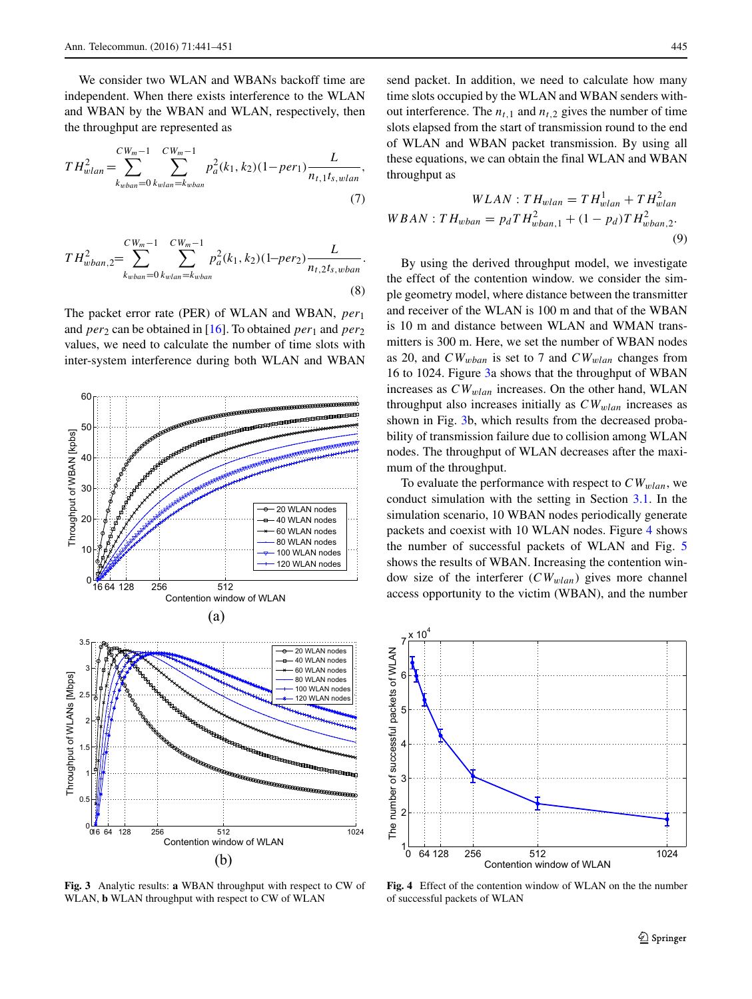We consider two WLAN and WBANs backoff time are independent. When there exists interference to the WLAN and WBAN by the WBAN and WLAN, respectively, then the throughput are represented as

$$
TH_{\text{wlan}}^2 = \sum_{k_{\text{wban}}=0}^{CW_m-1} \sum_{k_{\text{wlan}}=k_{\text{wban}}}^{CW_m-1} p_a^2(k_1, k_2) (1 - \text{per}_1) \frac{L}{n_{t,1} t_{s, \text{wlan}}},\tag{7}
$$

$$
TH_{wban,2}^{2} = \sum_{k_{wban}=0}^{CW_m-1} \sum_{k_{wban}=k_{wban}}^{CW_m-1} p_a^{2}(k_1, k_2) (1-per_2) \frac{L}{n_{t,2}t_s, wban}.
$$
\n(8)

The packet error rate (PER) of WLAN and WBAN, *per*<sup>1</sup> and *per*<sub>2</sub> can be obtained in [\[16\]](#page-10-14). To obtained *per*<sub>1</sub> and *per*<sub>2</sub> values, we need to calculate the number of time slots with inter-system interference during both WLAN and WBAN

<span id="page-4-0"></span>

**Fig. 3** Analytic results: **a** WBAN throughput with respect to CW of WLAN, **b** WLAN throughput with respect to CW of WLAN

send packet. In addition, we need to calculate how many time slots occupied by the WLAN and WBAN senders without interference. The  $n_{t,1}$  and  $n_{t,2}$  gives the number of time slots elapsed from the start of transmission round to the end of WLAN and WBAN packet transmission. By using all these equations, we can obtain the final WLAN and WBAN throughput as

$$
WLAN : TH_{wlan} = TH_{wlan}^{1} + TH_{wlan}^{2}
$$
  
\n
$$
WBAN : TH_{wban} = p_dTH_{wban,1}^{2} + (1 - p_d)TH_{wban,2}^{2}.
$$
  
\n(9)

By using the derived throughput model, we investigate the effect of the contention window. we consider the simple geometry model, where distance between the transmitter and receiver of the WLAN is 100 m and that of the WBAN is 10 m and distance between WLAN and WMAN transmitters is 300 m. Here, we set the number of WBAN nodes as 20, and *CWwban* is set to 7 and *CWwlan* changes from 16 to 1024. Figure [3a](#page-4-0) shows that the throughput of WBAN increases as *CWwlan* increases. On the other hand, WLAN throughput also increases initially as  $CW_{wlan}$  increases as shown in Fig. [3b](#page-4-0), which results from the decreased probability of transmission failure due to collision among WLAN nodes. The throughput of WLAN decreases after the maximum of the throughput.

To evaluate the performance with respect to  $CW_{wlan}$ , we conduct simulation with the setting in Section [3.1.](#page-7-1) In the simulation scenario, 10 WBAN nodes periodically generate packets and coexist with 10 WLAN nodes. Figure [4](#page-4-1) shows the number of successful packets of WLAN and Fig. [5](#page-5-0) shows the results of WBAN. Increasing the contention window size of the interferer (*CWwlan*) gives more channel access opportunity to the victim (WBAN), and the number

<span id="page-4-1"></span>

**Fig. 4** Effect of the contention window of WLAN on the the number of successful packets of WLAN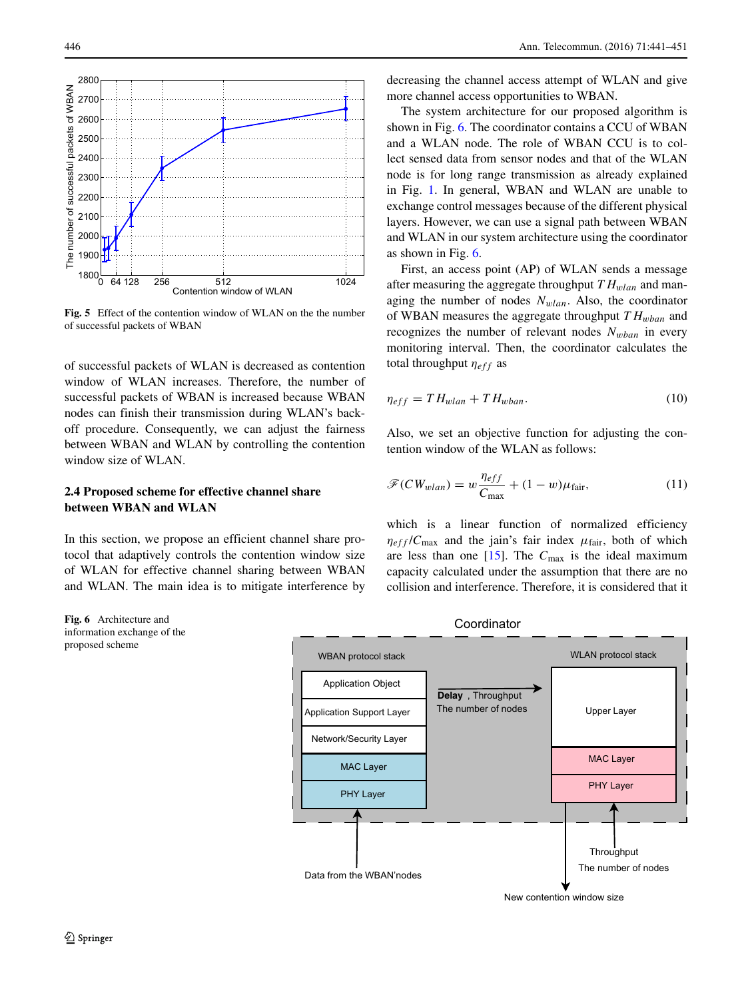<span id="page-5-0"></span>

Fig. 5 Effect of the contention window of WLAN on the the number of successful packets of WBAN

of successful packets of WLAN is decreased as contention window of WLAN increases. Therefore, the number of successful packets of WBAN is increased because WBAN nodes can finish their transmission during WLAN's backoff procedure. Consequently, we can adjust the fairness between WBAN and WLAN by controlling the contention window size of WLAN.

## **2.4 Proposed scheme for effective channel share between WBAN and WLAN**

In this section, we propose an efficient channel share protocol that adaptively controls the contention window size of WLAN for effective channel sharing between WBAN and WLAN. The main idea is to mitigate interference by

<span id="page-5-1"></span>**Fig. 6** Architecture and information exchange of the proposed scheme

decreasing the channel access attempt of WLAN and give more channel access opportunities to WBAN.

The system architecture for our proposed algorithm is shown in Fig. [6.](#page-5-1) The coordinator contains a CCU of WBAN and a WLAN node. The role of WBAN CCU is to collect sensed data from sensor nodes and that of the WLAN node is for long range transmission as already explained in Fig. [1.](#page-1-0) In general, WBAN and WLAN are unable to exchange control messages because of the different physical layers. However, we can use a signal path between WBAN and WLAN in our system architecture using the coordinator as shown in Fig. [6.](#page-5-1)

First, an access point (AP) of WLAN sends a message after measuring the aggregate throughput  $TH_{wlan}$  and managing the number of nodes *Nwlan*. Also, the coordinator of WBAN measures the aggregate throughput *T Hwban* and recognizes the number of relevant nodes *Nwban* in every monitoring interval. Then, the coordinator calculates the total throughput *ηeff* as

$$
\eta_{eff} = T H_{wlan} + T H_{wban}.\tag{10}
$$

Also, we set an objective function for adjusting the contention window of the WLAN as follows:

<span id="page-5-2"></span>
$$
\mathcal{F}(CW_{wlan}) = w \frac{\eta_{eff}}{C_{\text{max}}} + (1 - w)\mu_{\text{fair}},
$$
\n(11)

which is a linear function of normalized efficiency  $\eta_{eff}/C_{\text{max}}$  and the jain's fair index  $\mu_{\text{fair}}$ , both of which are less than one [\[15\]](#page-10-15). The *C*max is the ideal maximum capacity calculated under the assumption that there are no collision and interference. Therefore, it is considered that it

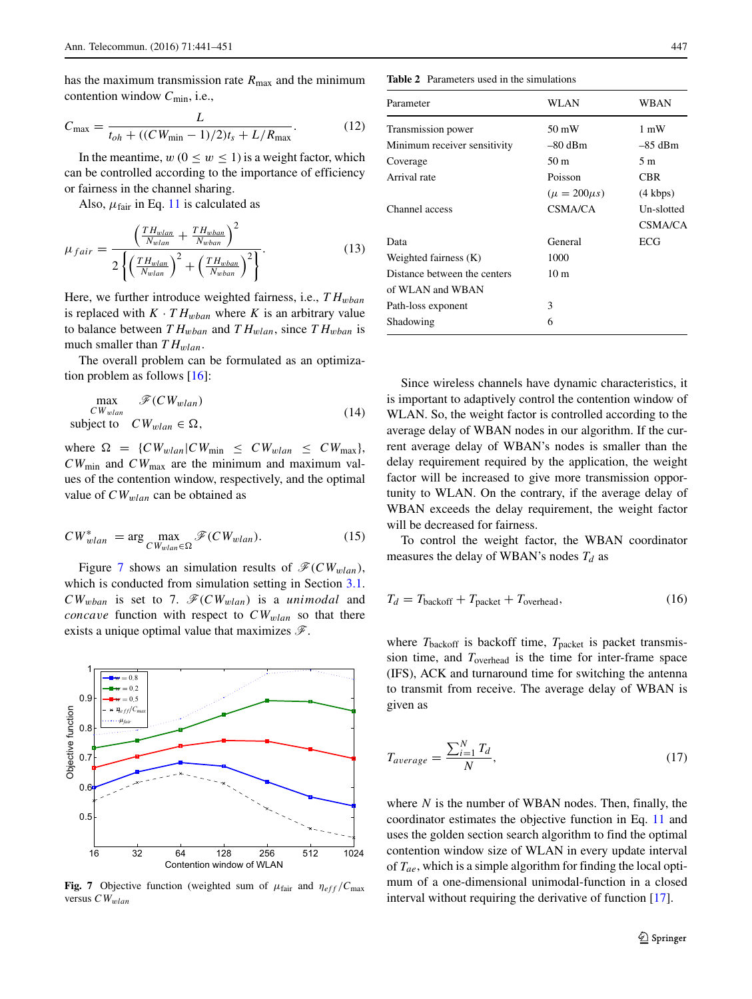has the maximum transmission rate  $R_{\text{max}}$  and the minimum contention window *C*min, i.e.,

$$
C_{\text{max}} = \frac{L}{t_{oh} + ((CW_{\text{min}} - 1)/2)t_s + L/R_{\text{max}}}.
$$
 (12)

In the meantime,  $w(0 \le w \le 1)$  is a weight factor, which can be controlled according to the importance of efficiency or fairness in the channel sharing.

Also,  $\mu_{\text{fair}}$  in Eq. [11](#page-5-2) is calculated as

$$
\mu_{fair} = \frac{\left(\frac{TH_{wlan}}{N_{wlan}} + \frac{TH_{wban}}{N_{wban}}\right)^2}{2\left\{\left(\frac{TH_{wlan}}{N_{wlan}}\right)^2 + \left(\frac{TH_{wban}}{N_{wban}}\right)^2\right\}}.
$$
\n(13)

Here, we further introduce weighted fairness, i.e.,  $TH_{whan}$ is replaced with  $K \cdot TH_{wban}$  where *K* is an arbitrary value to balance between  $TH_{wban}$  and  $TH_{wlan}$ , since  $TH_{wban}$  is much smaller than *T* H<sub>wlan</sub>.

The overall problem can be formulated as an optimization problem as follows [\[16\]](#page-10-14):

$$
\max_{CW_{wlan}} \mathscr{F}(CW_{wlan})
$$
\nsubject to  $CW_{wlan} \in \Omega$ , (14)

where  $\Omega = \{CW_{wlan} | CW_{min} \leq CW_{wlan} \leq CW_{max} \},$ *CW*min and *CW*max are the minimum and maximum values of the contention window, respectively, and the optimal value of *CWwlan* can be obtained as

$$
CW_{wlan}^* = \arg \max_{CW_{wlan} \in \Omega} \mathscr{F}(CW_{wlan}). \tag{15}
$$

Figure [7](#page-6-0) shows an simulation results of  $\mathcal{F}(CW_{wlan})$ , which is conducted from simulation setting in Section [3.1.](#page-7-1)  $CW_{\text{wban}}$  is set to 7.  $\mathcal{F}(CW_{\text{wlan}})$  is a *unimodal* and *concave* function with respect to  $CW_{wlan}$  so that there exists a unique optimal value that maximizes  $\mathscr{F}$ .

<span id="page-6-0"></span>

**Fig. 7** Objective function (weighted sum of  $\mu_{\text{fair}}$  and  $\eta_{\text{eff}}/C_{\text{max}}$ versus *CWwlan*

<span id="page-6-1"></span>**Table 2** Parameters used in the simulations

| Parameter                    | WLAN                | WBAN               |
|------------------------------|---------------------|--------------------|
| Transmission power           | 50 mW               | $1 \text{ mW}$     |
| Minimum receiver sensitivity | $-80$ dBm           | $-85$ dBm          |
| Coverage                     | 50 m                | 5m                 |
| Arrival rate                 | Poisson             | CBR                |
|                              | $(\mu = 200 \mu s)$ | $(4 \text{ kbps})$ |
| Channel access               | CSMA/CA             | Un-slotted         |
|                              |                     | CSMA/CA            |
| Data                         | General             | ECG                |
| Weighted fairness (K)        | 1000                |                    |
| Distance between the centers | 10 <sub>m</sub>     |                    |
| of WLAN and WBAN             |                     |                    |
| Path-loss exponent           | 3                   |                    |
| Shadowing                    | 6                   |                    |
|                              |                     |                    |

Since wireless channels have dynamic characteristics, it is important to adaptively control the contention window of WLAN. So, the weight factor is controlled according to the average delay of WBAN nodes in our algorithm. If the current average delay of WBAN's nodes is smaller than the delay requirement required by the application, the weight factor will be increased to give more transmission opportunity to WLAN. On the contrary, if the average delay of WBAN exceeds the delay requirement, the weight factor will be decreased for fairness.

To control the weight factor, the WBAN coordinator measures the delay of WBAN's nodes  $T_d$  as

$$
T_d = T_{\text{backoff}} + T_{\text{packet}} + T_{\text{overhead}},\tag{16}
$$

where  $T_{\text{backoff}}$  is backoff time,  $T_{\text{packet}}$  is packet transmission time, and *T*overhead is the time for inter-frame space (IFS), ACK and turnaround time for switching the antenna to transmit from receive. The average delay of WBAN is given as

$$
T_{average} = \frac{\sum_{i=1}^{N} T_d}{N},\tag{17}
$$

where *N* is the number of WBAN nodes. Then, finally, the coordinator estimates the objective function in Eq. [11](#page-5-2) and uses the golden section search algorithm to find the optimal contention window size of WLAN in every update interval of *Tae*, which is a simple algorithm for finding the local optimum of a one-dimensional unimodal-function in a closed interval without requiring the derivative of function [\[17\]](#page-10-16).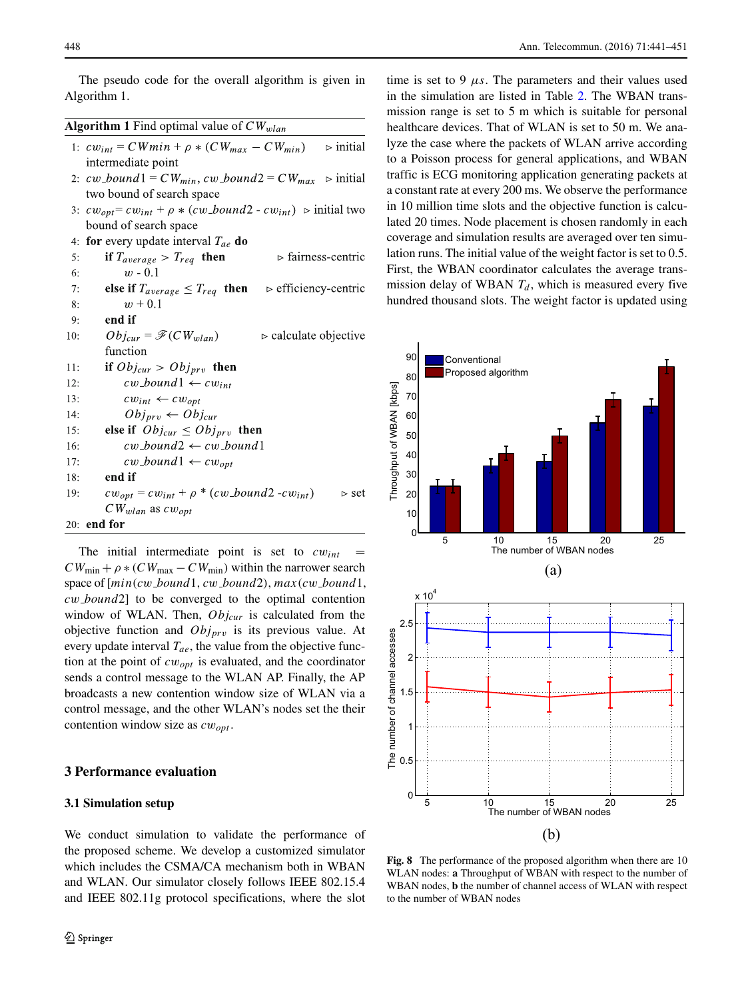The pseudo code for the overall algorithm is given in Algorithm 1.

| <b>Algorithm 1</b> Find optimal value of $CW_{wlan}$ |  |  |  |
|------------------------------------------------------|--|--|--|
|                                                      |  |  |  |

| 1: $cw_{int} = CWmin + \rho * (CW_{max} - CW_{min})$ $\Rightarrow$ initial     |  |
|--------------------------------------------------------------------------------|--|
| intermediate point                                                             |  |
| 2: $cw\_{bound}1 = CW_{min}$ , $cw\_{bound}2 = CW_{max}$ $\Rightarrow$ initial |  |

- two bound of search space 3:  $cw_{opt} = cw_{int} + \rho * (cw\_bound2 - cw_{int})$   $\triangleright$  initial two bound of search space
- 4: for every update interval  $T_{ae}$  do

| 5:  | if $T_{average} > T_{req}$ then | $\triangleright$ fairness-centric |
|-----|---------------------------------|-----------------------------------|
| -6: | $w - 0.1$                       |                                   |

- $7:$ else if  $T_{average} \leq T_{req}$  then  $\triangleright$  efficiency-centric  $w + 0.1$ 8:
- $9:$ end if

| 10: | $Obj_{cur} = \mathscr{F}(CW_{wlan})$    | $\triangleright$ calculate objective |
|-----|-----------------------------------------|--------------------------------------|
|     | function                                |                                      |
| H:  | if $Obj_{cur} > Obj_{prv}$ then         |                                      |
| l2: | $cw\_{bound1} \leftarrow cw_{int}$      |                                      |
| 13: | $cw_{int} \leftarrow cw_{opt}$          |                                      |
| 4:  | $Obj_{prv} \leftarrow Obj_{cur}$        |                                      |
| 15: | else if $Obj_{cur} \leq Obj_{prv}$ then |                                      |
| 16: | $cw\_{bound2} \leftarrow cw\_{bound1}$  |                                      |
| l7: | $cw\_{bound1} \leftarrow cw_{opt}$      |                                      |

 $\triangleright$  set

$$
18: \qquad \textbf{end if}
$$

 $cw_{opt} = cw_{int} + \rho * (cw\_bound2 - cw_{int})$  $19:$  $CW_{wlan}$  as  $cw_{ont}$ 

 $20:$  end for

The initial intermediate point is set to  $cw_{int}$  =  $CW_{\text{min}} + \rho * (CW_{\text{max}} - CW_{\text{min}})$  within the narrower search space of [*min(cw bound*1*, cw bound*2*), max(cw bound*1*, cw bound*2] to be converged to the optimal contention window of WLAN. Then, *Objcur* is calculated from the objective function and *Objprv* is its previous value. At every update interval  $T_{ae}$ , the value from the objective function at the point of *cwopt* is evaluated, and the coordinator sends a control message to the WLAN AP. Finally, the AP broadcasts a new contention window size of WLAN via a control message, and the other WLAN's nodes set the their contention window size as *cwopt* .

## <span id="page-7-1"></span><span id="page-7-0"></span>**3 Performance evaluation**

## **3.1 Simulation setup**

We conduct simulation to validate the performance of the proposed scheme. We develop a customized simulator which includes the CSMA/CA mechanism both in WBAN and WLAN. Our simulator closely follows IEEE 802.15.4 and IEEE 802.11g protocol specifications, where the slot time is set to 9 *μs*. The parameters and their values used in the simulation are listed in Table [2.](#page-6-1) The WBAN transmission range is set to 5 m which is suitable for personal healthcare devices. That of WLAN is set to 50 m. We analyze the case where the packets of WLAN arrive according to a Poisson process for general applications, and WBAN traffic is ECG monitoring application generating packets at a constant rate at every 200 ms. We observe the performance in 10 million time slots and the objective function is calculated 20 times. Node placement is chosen randomly in each coverage and simulation results are averaged over ten simulation runs. The initial value of the weight factor is set to 0.5. First, the WBAN coordinator calculates the average transmission delay of WBAN  $T_d$ , which is measured every five hundred thousand slots. The weight factor is updated using

<span id="page-7-2"></span>

**Fig. 8** The performance of the proposed algorithm when there are 10 WLAN nodes: **a** Throughput of WBAN with respect to the number of WBAN nodes, **b** the number of channel access of WLAN with respect to the number of WBAN nodes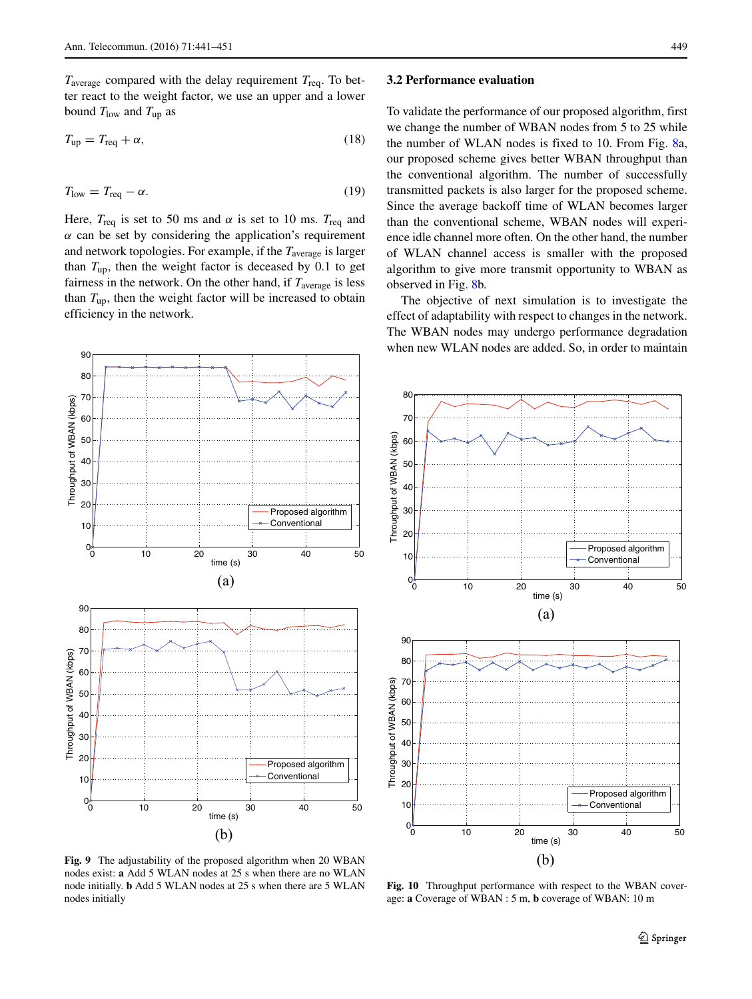*T*average compared with the delay requirement *T*req. To better react to the weight factor, we use an upper and a lower bound  $T_{\text{low}}$  and  $T_{\text{up}}$  as

$$
T_{\rm up} = T_{\rm req} + \alpha,\tag{18}
$$

$$
T_{\text{low}} = T_{\text{req}} - \alpha. \tag{19}
$$

Here,  $T_{\text{req}}$  is set to 50 ms and  $\alpha$  is set to 10 ms.  $T_{\text{req}}$  and  $\alpha$  can be set by considering the application's requirement and network topologies. For example, if the *T*average is larger than  $T_{\text{up}}$ , then the weight factor is deceased by 0.1 to get fairness in the network. On the other hand, if  $T_{\text{average}}$  is less than  $T_{\text{up}}$ , then the weight factor will be increased to obtain efficiency in the network.

#### **3.2 Performance evaluation**

<span id="page-8-1"></span>70 80

To validate the performance of our proposed algorithm, first we change the number of WBAN nodes from 5 to 25 while the number of WLAN nodes is fixed to 10. From Fig. [8a](#page-7-2), our proposed scheme gives better WBAN throughput than the conventional algorithm. The number of successfully transmitted packets is also larger for the proposed scheme. Since the average backoff time of WLAN becomes larger than the conventional scheme, WBAN nodes will experience idle channel more often. On the other hand, the number of WLAN channel access is smaller with the proposed algorithm to give more transmit opportunity to WBAN as observed in Fig. [8b](#page-7-2).

The objective of next simulation is to investigate the effect of adaptability with respect to changes in the network. The WBAN nodes may undergo performance degradation when new WLAN nodes are added. So, in order to maintain

<span id="page-8-0"></span>

Throughput of WBAN (kbps) Throughput of WBAN (kbps) 60 50  $\Delta$ C 30 20 Proposed algorithm 10 **Conventional**  $0^*_{\overset{\circ}{0}}$ 0 10 20 30 40 50 time (s) (a) 90 80 Throughput of WBAN (kbps) Throughput of WBAN (kbps) 70 60 50 40 30 20 Proposed algorithm 10 **Conventiona**  $0<sub>o</sub><sup>*</sup>$ 0 10 20 30 40 50 time (s) (b)

**Fig. 9** The adjustability of the proposed algorithm when 20 WBAN nodes exist: **a** Add 5 WLAN nodes at 25 s when there are no WLAN node initially. **b** Add 5 WLAN nodes at 25 s when there are 5 WLAN nodes initially

**Fig. 10** Throughput performance with respect to the WBAN coverage: **a** Coverage of WBAN : 5 m, **b** coverage of WBAN: 10 m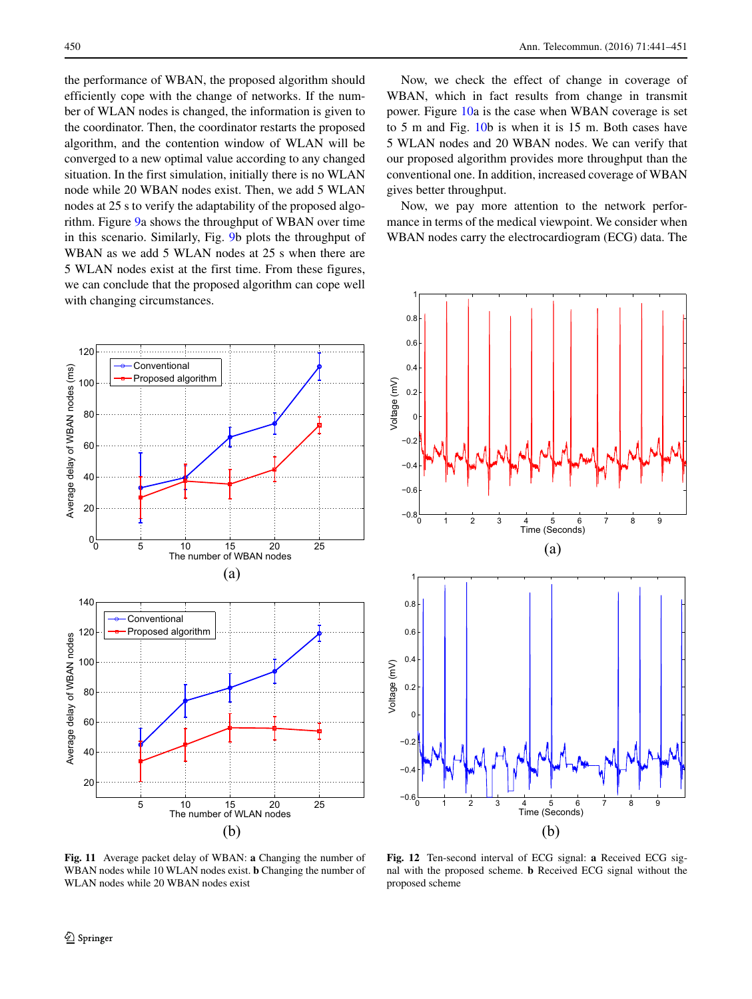the performance of WBAN, the proposed algorithm should efficiently cope with the change of networks. If the number of WLAN nodes is changed, the information is given to the coordinator. Then, the coordinator restarts the proposed algorithm, and the contention window of WLAN will be converged to a new optimal value according to any changed situation. In the first simulation, initially there is no WLAN node while 20 WBAN nodes exist. Then, we add 5 WLAN nodes at 25 s to verify the adaptability of the proposed algorithm. Figure [9a](#page-8-0) shows the throughput of WBAN over time in this scenario. Similarly, Fig. [9b](#page-8-0) plots the throughput of WBAN as we add 5 WLAN nodes at 25 s when there are 5 WLAN nodes exist at the first time. From these figures, we can conclude that the proposed algorithm can cope well with changing circumstances.

<span id="page-9-0"></span>

Now, we check the effect of change in coverage of WBAN, which in fact results from change in transmit power. Figure [10a](#page-8-1) is the case when WBAN coverage is set to 5 m and Fig. [10b](#page-8-1) is when it is 15 m. Both cases have 5 WLAN nodes and 20 WBAN nodes. We can verify that our proposed algorithm provides more throughput than the conventional one. In addition, increased coverage of WBAN gives better throughput.

Now, we pay more attention to the network performance in terms of the medical viewpoint. We consider when WBAN nodes carry the electrocardiogram (ECG) data. The

<span id="page-9-1"></span>

**Fig. 11** Average packet delay of WBAN: **a** Changing the number of WBAN nodes while 10 WLAN nodes exist. **b** Changing the number of WLAN nodes while 20 WBAN nodes exist

**Fig. 12** Ten-second interval of ECG signal: **a** Received ECG signal with the proposed scheme. **b** Received ECG signal without the proposed scheme